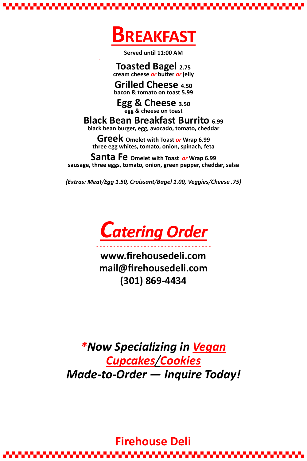

**Served until 11:00 AM**

#### **- - - - - - - - - - - - - - - - - - - - - - - - - - - - - - - - - - Toasted Bagel 2.75 cream cheese** *or* **butter** *or* **jelly**

# **Grilled Cheese 4.50**

**bacon & tomato on toast 5.99**

### **Egg & Cheese 3.50 egg & cheese on toast**

## **Black Bean Breakfast Burrito 6.99**

**black bean burger, egg, avocado, tomato, cheddar**

----------------------------------**www.firehousedeli.com mail@firehousedeli.com (301) 869-4434**

**Greek Omelet with Toast** *or* **Wrap 6.99 three egg whites, tomato, onion, spinach, feta**

### **Santa Fe Omelet with Toast** *or* **Wrap 6.99**

**sausage, three eggs, tomato, onion, green pepper, cheddar, salsa**

*(Extras: Meat/Egg 1.50, Croissant/Bagel 1.00, Veggies/Cheese .75)* 

*Catering Order*

# *\*Now Specializing in Vegan Cupcakes/Cookies Made-to-Order — Inquire Today!*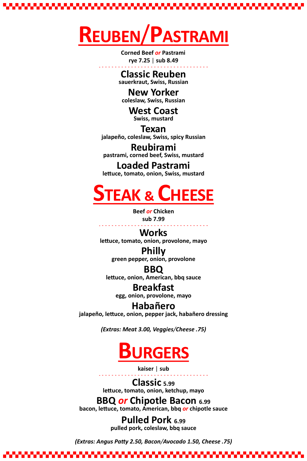

 **Corned Beef** *or* **Pastrami rye 7.25** | **sub 8.49**

### **- - - - - - - - - - - - - - - - - - - - - - - - - - - - - - - - - - Classic Reuben**

**sauerkraut, Swiss, Russian**

## **New Yorker**

**coleslaw, Swiss, Russian**

# **West Coast**

**Swiss, mustard**

## **Texan**

**jalapeño, coleslaw, Swiss, spicy Russian**

## **Reubirami**

**pastrami, corned beef, Swiss, mustard**

## **Loaded Pastrami**

**lettuce, tomato, onion, Swiss, mustard**



**Beef** *or* **Chicken**

**sub 7.99** 

### **- - - - - - - - - - - - - - - - - - - - - - - - - - - - - - - - - - Works**

**lettuce, tomato, onion, provolone, mayo**

# **Philly**

**green pepper, onion, provolone** 

## **BBQ**

**lettuce, onion, American, bbq sauce**

## **Breakfast**

**egg, onion, provolone, mayo**

## **Habañero**

**jalapeño, lettuce, onion, pepper jack, habañero dressing**

*(Extras: Meat 3.00, Veggies/Cheese .75)* 



**kaiser** | **sub**

### **- - - - - - - - - - - - - - - - - - - - - - - - - - - - - - - - - - Classic 5.99**

**lettuce, tomato, onion, ketchup, mayo**

## **BBQ** *or* **Chipotle Bacon 6.99**

**bacon, lettuce, tomato, American, bbq** *or* **chipotle sauce**

### **Pulled Pork 6.99 pulled pork, coleslaw, bbq sauce**

*(Extras: Angus Patty 2.50, Bacon/Avocado 1.50, Cheese .75)*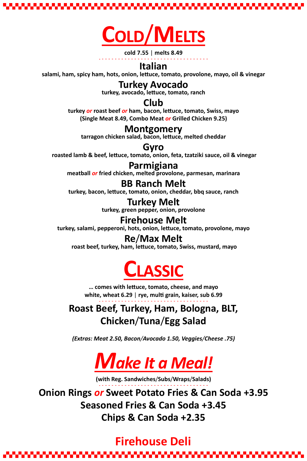

**cold 7.55** | **melts 8.49**

#### **- - - - - - - - - - - - - - - - - - - - - - - - - - - - - - - - - - Italian**

**salami, ham, spicy ham, hots, onion, lettuce, tomato, provolone, mayo, oil & vinegar**

## **Turkey Avocado**

**turkey, avocado, lettuce, tomato, ranch** 

## **Club**

**turkey** *or* **roast beef** *or* **ham, bacon, lettuce, tomato, Swiss, mayo**

**(Single Meat 8.49, Combo Meat** *or* **Grilled Chicken 9.25)** 

## **Montgomery**

**tarragon chicken salad, bacon, lettuce, melted cheddar**

## **Gyro**

**roasted lamb & beef, lettuce, tomato, onion, feta, tzatziki sauce, oil & vinegar**

## **Parmigiana**

**meatball** *or* **fried chicken, melted provolone, parmesan, marinara**

## **BB Ranch Melt**

**turkey, bacon, lettuce, tomato, onion, cheddar, bbq sauce, ranch**

# **Turkey Melt**

**turkey, green pepper, onion, provolone**

## **Firehouse Melt**

**turkey, salami, pepperoni, hots, onion, lettuce, tomato, provolone, mayo** 

## **Re**/**Max Melt**

**roast beef, turkey, ham, lettuce, tomato, Swiss, mustard, mayo**



**… comes with lettuce, tomato, cheese, and mayo white, wheat 6.29** | **rye, multi grain, kaiser, sub 6.99**

**- - - - - - - - - - - - - - - - - - - - - - - - - - - - - - - - - - Roast Beef, Turkey, Ham, Bologna, BLT,** 

## **Chicken**/**Tuna**/**Egg Salad**

*(Extras: Meat 2.50, Bacon/Avocado 1.50, Veggies/Cheese .75)* 



**(with Reg. Sandwiches**/**Subs**/**Wraps**/**Salads)** 

## **- - - - - - - - - - - - - - - - - - - - - - - - - - - - - - - - - - Onion Rings** *or* **Sweet Potato Fries & Can Soda +3.95 Seasoned Fries & Can Soda +3.45 Chips & Can Soda +2.35**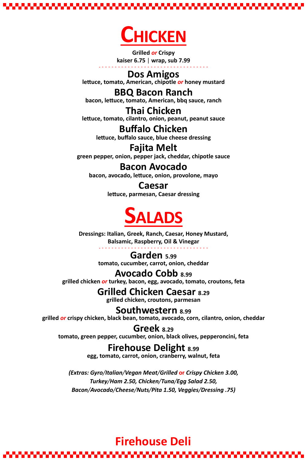

**Grilled** *or* **Crispy kaiser 6.75** | **wrap, sub 7.99**

### **- - - - - - - - - - - - - - - - - - - - - - - - - - - - - - - - - - Dos Amigos**

**lettuce, tomato, American, chipotle** *or* **honey mustard**

## **BBQ Bacon Ranch**

**bacon, lettuce, tomato, American, bbq sauce, ranch**

# **Thai Chicken**

**lettuce, tomato, cilantro, onion, peanut, peanut sauce**

# **Buffalo Chicken**

**lettuce, buffalo sauce, blue cheese dressing**

## **Fajita Melt**

**green pepper, onion, pepper jack, cheddar, chipotle sauce**

## **Bacon Avocado**

**bacon, avocado, lettuce, onion, provolone, mayo**

## **Caesar**

**lettuce, parmesan, Caesar dressing**



**Dressings: Italian, Greek, Ranch, Caesar, Honey Mustard, Balsamic, Raspberry, Oil & Vinegar**

### **- - - - - - - - - - - - - - - - - - - - - - - - - - - - - - - - - - Garden 5.99**

**tomato, cucumber, carrot, onion, cheddar**

## **Avocado Cobb 8.99**

**grilled chicken** *or* **turkey, bacon, egg, avocado, tomato, croutons, feta** 

# **Grilled Chicken Caesar 8.29**

**grilled chicken, croutons, parmesan**

## **Southwestern 8.99**

**grilled** *or* **crispy chicken, black bean, tomato, avocado, corn, cilantro, onion, cheddar**

## **Greek 8.29**

**tomato, green pepper, cucumber, onion, black olives, pepperoncini, feta**

## **Firehouse Delight 8.99**

**egg, tomato, carrot, onion, cranberry, walnut, feta**

*(Extras: Gyro/Italian/Vegan Meat/Grilled* **or** *Crispy Chicken 3.00, Turkey/Ham 2.50, Chicken/Tuna/Egg Salad 2.50, Bacon/Avocado/Cheese/Nuts/Pita 1.50, Veggies/Dressing .75)*